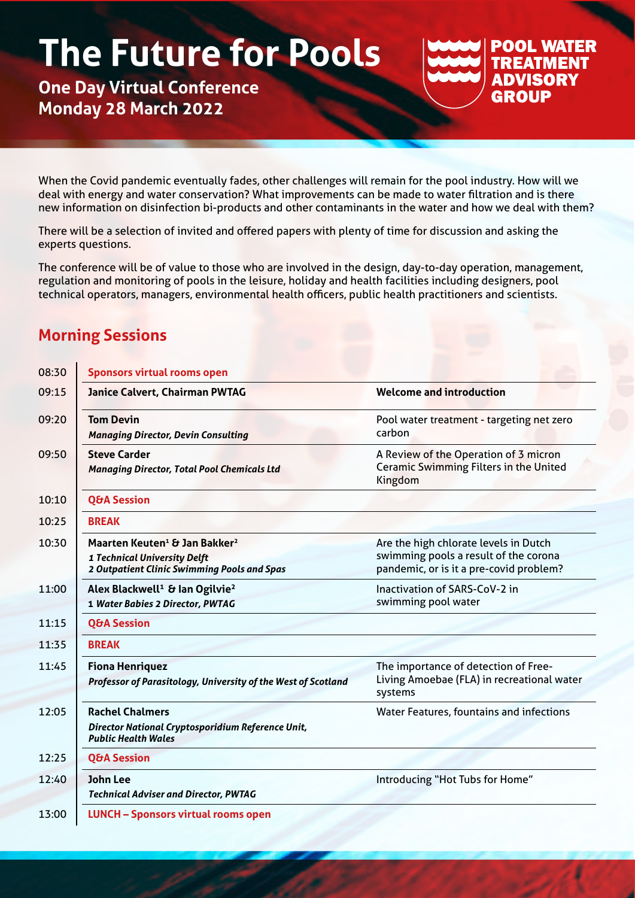# **The Future for Pools**

## **One Day Virtual Conference Monday 28 March 2022**

#### **POOL WATER TREATMENT ADVISORY GROUP**

When the Covid pandemic eventually fades, other challenges will remain for the pool industry. How will we deal with energy and water conservation? What improvements can be made to water filtration and is there new information on disinfection bi-products and other contaminants in the water and how we deal with them?

There will be a selection of invited and offered papers with plenty of time for discussion and asking the experts questions.

The conference will be of value to those who are involved in the design, day-to-day operation, management, regulation and monitoring of pools in the leisure, holiday and health facilities including designers, pool technical operators, managers, environmental health officers, public health practitioners and scientists.

### **Morning Sessions**

| 08:30 | <b>Sponsors virtual rooms open</b>                                                                                                   |                                                                                                                           |
|-------|--------------------------------------------------------------------------------------------------------------------------------------|---------------------------------------------------------------------------------------------------------------------------|
| 09:15 | Janice Calvert, Chairman PWTAG                                                                                                       | <b>Welcome and introduction</b>                                                                                           |
| 09:20 | <b>Tom Devin</b><br><b>Managing Director, Devin Consulting</b>                                                                       | Pool water treatment - targeting net zero<br>carbon                                                                       |
| 09:50 | <b>Steve Carder</b><br><b>Managing Director, Total Pool Chemicals Ltd</b>                                                            | A Review of the Operation of 3 micron<br>Ceramic Swimming Filters in the United<br>Kingdom                                |
| 10:10 | <b>Q&amp;A Session</b>                                                                                                               |                                                                                                                           |
| 10:25 | <b>BREAK</b>                                                                                                                         |                                                                                                                           |
| 10:30 | Maarten Keuten <sup>1</sup> & Jan Bakker <sup>2</sup><br>1 Technical University Delft<br>2 Outpatient Clinic Swimming Pools and Spas | Are the high chlorate levels in Dutch<br>swimming pools a result of the corona<br>pandemic, or is it a pre-covid problem? |
| 11:00 | Alex Blackwell <sup>1</sup> & Ian Ogilvie <sup>2</sup><br>1 Water Babies 2 Director, PWTAG                                           | <b>Inactivation of SARS-CoV-2 in</b><br>swimming pool water                                                               |
| 11:15 | <b>Q&amp;A Session</b>                                                                                                               |                                                                                                                           |
| 11:35 | <b>BREAK</b>                                                                                                                         |                                                                                                                           |
| 11:45 | <b>Fiona Henriquez</b><br>Professor of Parasitology, University of the West of Scotland                                              | The importance of detection of Free-<br>Living Amoebae (FLA) in recreational water<br>systems                             |
| 12:05 | <b>Rachel Chalmers</b><br>Director National Cryptosporidium Reference Unit,<br><b>Public Health Wales</b>                            | Water Features, fountains and infections                                                                                  |
| 12:25 | <b>Q&amp;A Session</b>                                                                                                               |                                                                                                                           |
| 12:40 | <b>John Lee</b><br><b>Technical Adviser and Director, PWTAG</b>                                                                      | Introducing "Hot Tubs for Home"                                                                                           |
| 13:00 | <b>LUNCH - Sponsors virtual rooms open</b>                                                                                           |                                                                                                                           |